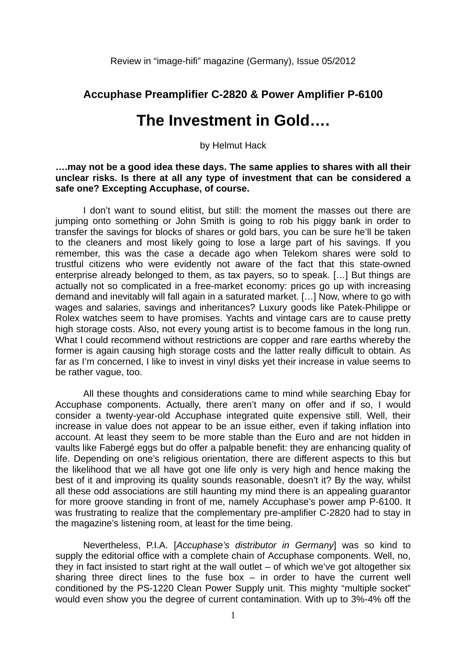Review in "image-hifi" magazine (Germany), Issue 05/2012

## **Accuphase Preamplifier C-2820 & Power Amplifier P-6100**

## **The Investment in Gold….**

by Helmut Hack

## **….may not be a good idea these days. The same applies to shares with all their unclear risks. Is there at all any type of investment that can be considered a safe one? Excepting Accuphase, of course.**

I don't want to sound elitist, but still: the moment the masses out there are jumping onto something or John Smith is going to rob his piggy bank in order to transfer the savings for blocks of shares or gold bars, you can be sure he'll be taken to the cleaners and most likely going to lose a large part of his savings. If you remember, this was the case a decade ago when Telekom shares were sold to trustful citizens who were evidently not aware of the fact that this state-owned enterprise already belonged to them, as tax payers, so to speak. […] But things are actually not so complicated in a free-market economy: prices go up with increasing demand and inevitably will fall again in a saturated market. […] Now, where to go with wages and salaries, savings and inheritances? Luxury goods like Patek-Philippe or Rolex watches seem to have promises. Yachts and vintage cars are to cause pretty high storage costs. Also, not every young artist is to become famous in the long run. What I could recommend without restrictions are copper and rare earths whereby the former is again causing high storage costs and the latter really difficult to obtain. As far as I'm concerned, I like to invest in vinyl disks yet their increase in value seems to be rather vague, too.

All these thoughts and considerations came to mind while searching Ebay for Accuphase components. Actually, there aren't many on offer and if so, I would consider a twenty-year-old Accuphase integrated quite expensive still. Well, their increase in value does not appear to be an issue either, even if taking inflation into account. At least they seem to be more stable than the Euro and are not hidden in vaults like Fabergé eggs but do offer a palpable benefit: they are enhancing quality of life. Depending on one's religious orientation, there are different aspects to this but the likelihood that we all have got one life only is very high and hence making the best of it and improving its quality sounds reasonable, doesn't it? By the way, whilst all these odd associations are still haunting my mind there is an appealing guarantor for more groove standing in front of me, namely Accuphase's power amp P-6100. It was frustrating to realize that the complementary pre-amplifier C-2820 had to stay in the magazine's listening room, at least for the time being.

Nevertheless, P.I.A. [*Accuphase's distributor in Germany*] was so kind to supply the editorial office with a complete chain of Accuphase components. Well, no, they in fact insisted to start right at the wall outlet – of which we've got altogether six sharing three direct lines to the fuse box  $-$  in order to have the current well conditioned by the PS-1220 Clean Power Supply unit. This mighty "multiple socket" would even show you the degree of current contamination. With up to 3%-4% off the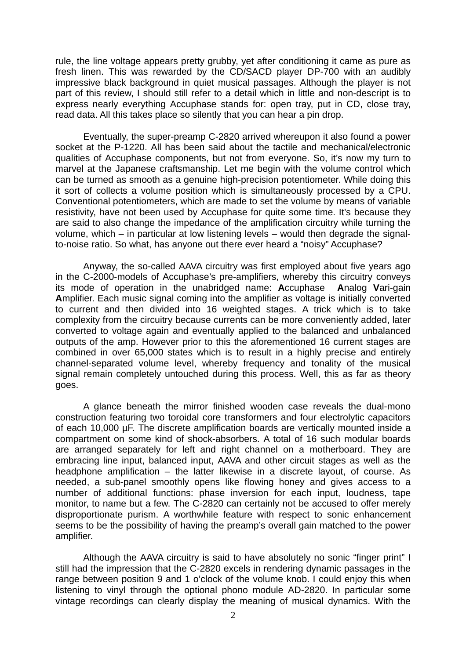rule, the line voltage appears pretty grubby, yet after conditioning it came as pure as fresh linen. This was rewarded by the CD/SACD player DP-700 with an audibly impressive black background in quiet musical passages. Although the player is not part of this review, I should still refer to a detail which in little and non-descript is to express nearly everything Accuphase stands for: open tray, put in CD, close tray, read data. All this takes place so silently that you can hear a pin drop.

 Eventually, the super-preamp C-2820 arrived whereupon it also found a power socket at the P-1220. All has been said about the tactile and mechanical/electronic qualities of Accuphase components, but not from everyone. So, it's now my turn to marvel at the Japanese craftsmanship. Let me begin with the volume control which can be turned as smooth as a genuine high-precision potentiometer. While doing this it sort of collects a volume position which is simultaneously processed by a CPU. Conventional potentiometers, which are made to set the volume by means of variable resistivity, have not been used by Accuphase for quite some time. It's because they are said to also change the impedance of the amplification circuitry while turning the volume, which – in particular at low listening levels – would then degrade the signalto-noise ratio. So what, has anyone out there ever heard a "noisy" Accuphase?

 Anyway, the so-called AAVA circuitry was first employed about five years ago in the C-2000-models of Accuphase's pre-amplifiers, whereby this circuitry conveys its mode of operation in the unabridged name: **A**ccuphase **A**nalog **V**ari-gain **A**mplifier. Each music signal coming into the amplifier as voltage is initially converted to current and then divided into 16 weighted stages. A trick which is to take complexity from the circuitry because currents can be more conveniently added, later converted to voltage again and eventually applied to the balanced and unbalanced outputs of the amp. However prior to this the aforementioned 16 current stages are combined in over 65,000 states which is to result in a highly precise and entirely channel-separated volume level, whereby frequency and tonality of the musical signal remain completely untouched during this process. Well, this as far as theory goes.

A glance beneath the mirror finished wooden case reveals the dual-mono construction featuring two toroidal core transformers and four electrolytic capacitors of each 10,000 µF. The discrete amplification boards are vertically mounted inside a compartment on some kind of shock-absorbers. A total of 16 such modular boards are arranged separately for left and right channel on a motherboard. They are embracing line input, balanced input, AAVA and other circuit stages as well as the headphone amplification – the latter likewise in a discrete layout, of course. As needed, a sub-panel smoothly opens like flowing honey and gives access to a number of additional functions: phase inversion for each input, loudness, tape monitor, to name but a few. The C-2820 can certainly not be accused to offer merely disproportionate purism. A worthwhile feature with respect to sonic enhancement seems to be the possibility of having the preamp's overall gain matched to the power amplifier.

Although the AAVA circuitry is said to have absolutely no sonic "finger print" I still had the impression that the C-2820 excels in rendering dynamic passages in the range between position 9 and 1 o'clock of the volume knob. I could enjoy this when listening to vinyl through the optional phono module AD-2820. In particular some vintage recordings can clearly display the meaning of musical dynamics. With the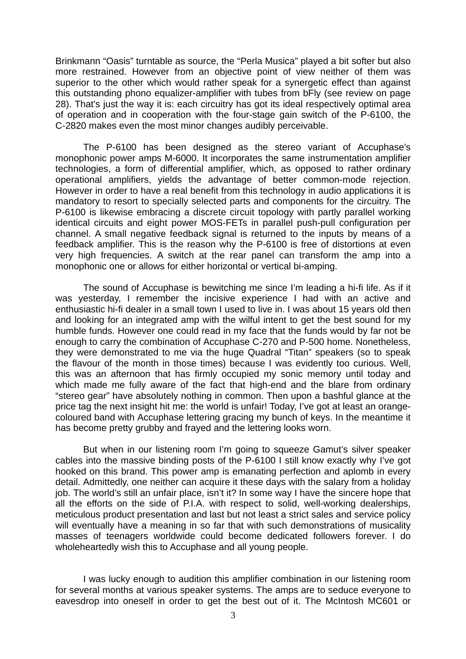Brinkmann "Oasis" turntable as source, the "Perla Musica" played a bit softer but also more restrained. However from an objective point of view neither of them was superior to the other which would rather speak for a synergetic effect than against this outstanding phono equalizer-amplifier with tubes from bFly (see review on page 28). That's just the way it is: each circuitry has got its ideal respectively optimal area of operation and in cooperation with the four-stage gain switch of the P-6100, the C-2820 makes even the most minor changes audibly perceivable.

The P-6100 has been designed as the stereo variant of Accuphase's monophonic power amps M-6000. It incorporates the same instrumentation amplifier technologies, a form of differential amplifier, which, as opposed to rather ordinary operational amplifiers, yields the advantage of better common-mode rejection. However in order to have a real benefit from this technology in audio applications it is mandatory to resort to specially selected parts and components for the circuitry. The P-6100 is likewise embracing a discrete circuit topology with partly parallel working identical circuits and eight power MOS-FETs in parallel push-pull configuration per channel. A small negative feedback signal is returned to the inputs by means of a feedback amplifier. This is the reason why the P-6100 is free of distortions at even very high frequencies. A switch at the rear panel can transform the amp into a monophonic one or allows for either horizontal or vertical bi-amping.

The sound of Accuphase is bewitching me since I'm leading a hi-fi life. As if it was yesterday, I remember the incisive experience I had with an active and enthusiastic hi-fi dealer in a small town I used to live in. I was about 15 years old then and looking for an integrated amp with the wilful intent to get the best sound for my humble funds. However one could read in my face that the funds would by far not be enough to carry the combination of Accuphase C-270 and P-500 home. Nonetheless, they were demonstrated to me via the huge Quadral "Titan" speakers (so to speak the flavour of the month in those times) because I was evidently too curious. Well, this was an afternoon that has firmly occupied my sonic memory until today and which made me fully aware of the fact that high-end and the blare from ordinary "stereo gear" have absolutely nothing in common. Then upon a bashful glance at the price tag the next insight hit me: the world is unfair! Today, I've got at least an orangecoloured band with Accuphase lettering gracing my bunch of keys. In the meantime it has become pretty grubby and frayed and the lettering looks worn.

But when in our listening room I'm going to squeeze Gamut's silver speaker cables into the massive binding posts of the P-6100 I still know exactly why I've got hooked on this brand. This power amp is emanating perfection and aplomb in every detail. Admittedly, one neither can acquire it these days with the salary from a holiday job. The world's still an unfair place, isn't it? In some way I have the sincere hope that all the efforts on the side of P.I.A. with respect to solid, well-working dealerships, meticulous product presentation and last but not least a strict sales and service policy will eventually have a meaning in so far that with such demonstrations of musicality masses of teenagers worldwide could become dedicated followers forever. I do wholeheartedly wish this to Accuphase and all young people.

I was lucky enough to audition this amplifier combination in our listening room for several months at various speaker systems. The amps are to seduce everyone to eavesdrop into oneself in order to get the best out of it. The McIntosh MC601 or